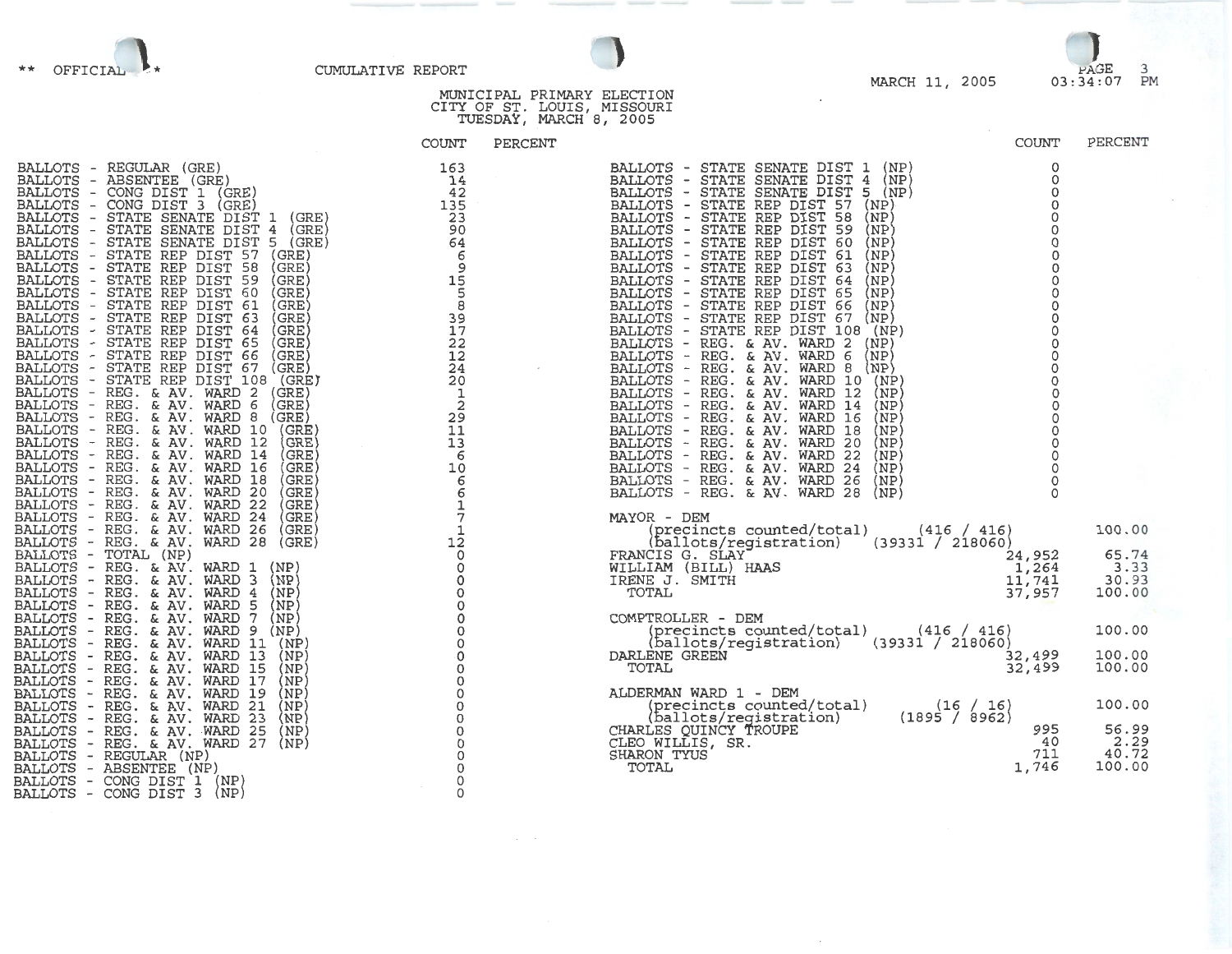

## MARCH 11, 2005

| ** OFFICIAL P* | CUMULATIVE REPORT |                                                           |  |                | PAGE<br>03:34:07 PM |  |
|----------------|-------------------|-----------------------------------------------------------|--|----------------|---------------------|--|
|                |                   | MUNICIPAL PRIMARY ELECTION<br>CITY OF ST. LOUIS, MISSOURI |  | MARCH 11, 2005 |                     |  |

|       |         | TUESDAY, MARCH 8, 2005 |  |  |
|-------|---------|------------------------|--|--|
| COUNT | PERCENT |                        |  |  |

5<br>38<br>17<br>22

12 24 20

1<br>29<br>11<br>13

6 10

6<br>6<br>1<br>7<br>1<br>2

0 0

0 0 0

0<br>0<br>0<br>0

| BALLOTS        | -                             | REGULAR<br>(GRE)                                     |
|----------------|-------------------------------|------------------------------------------------------|
| <b>BALLOTS</b> | $\overline{\phantom{0}}$      | <b>ABSENTEE</b><br>(GRE)                             |
|                |                               | CONG DIST<br>(GRE)<br>1                              |
| BALLOTS        |                               |                                                      |
| BALLOTS        | -                             | CONG DIST<br>3<br>(GRE)                              |
| BALLOTS        | -                             | <b>SENATE</b><br>DIST<br>(GRE)<br><b>STATE</b><br>1  |
| <b>BALLOTS</b> | -                             | DIST<br><b>STATE</b><br><b>SENATE</b><br>4<br>(GRE)  |
| BALLOTS        | $\overline{a}$                | DIST<br>5<br><b>SENATE</b><br>(GRE)<br><b>STATE</b>  |
| <b>BALLOTS</b> | $\overline{\phantom{a}}$      | <b>DIST</b><br>57<br><b>STATE</b><br>REP<br>(GRE)    |
| <b>BALLOTS</b> | $\frac{1}{\sqrt{2}}$          | <b>DIST</b><br>58<br>(GRE)<br><b>STATE</b><br>REP    |
| <b>BALLOTS</b> | $\overline{\phantom{0}}$      | DIST<br><b>STATE</b><br>REP<br>59<br>(GRE)           |
| <b>BALLOTS</b> | $\overline{\phantom{0}}$      | DIST<br><b>STATE</b><br>REP<br>60<br>(GRE)           |
| BALLOTS        | $\overline{\phantom{0}}$      | <b>DIST</b><br><b>STATE</b><br>REP<br>61<br>(GRE)    |
| BALLOTS        |                               | DIST<br>STATE<br>REP<br>63<br>(GRE)                  |
| <b>BALLOTS</b> | $\tilde{\mathbb{I}}$          | DIST<br><b>STATE</b><br>REP<br>64<br>(GRE)           |
| <b>BALLOTS</b> |                               | DIST<br><b>STATE</b><br>65<br>REP<br>(GRE)           |
| BALLOTS        | $\frac{1}{2}$                 | DIST<br>66<br><b>STATE</b><br>REP<br>(GRE)           |
| BALLOTS        |                               | <b>DIST</b><br><b>STATE</b><br>REP<br>67<br>(GRE)    |
| BALLOTS        | -<br>$\overline{\phantom{0}}$ | <b>DIST</b><br><b>STATE</b><br>REP<br>108<br>(GRE)   |
|                | $\overline{\phantom{0}}$      | AV.<br>2                                             |
| BALLOTS        |                               | (GRE)<br>REG.<br><b>WARD</b><br>&.                   |
| BALLOTS        | $\overline{\phantom{0}}$      | (GRE)<br>REG.<br>&.<br>AV.<br>WARD<br>6              |
| BALLOTS        | -                             | AV.<br>(GRE)<br>8<br>REG.<br>&.<br>WARD              |
| <b>BALLOTS</b> | -                             | REG.<br>AV.<br>(GRE)<br>&.<br>WARD<br>10             |
| BALLOTS        | -                             | AV.<br>12<br>(GRE<br>REG.<br>&.<br>WARD              |
| BALLOTS        | -                             | AV.<br>(GRE)<br>REG.<br>WARD<br>14<br>&.             |
| BALLOTS        | $\overline{\phantom{a}}$      | AV.<br>(GRE<br>REG.<br>WARD<br>16<br>&.              |
| BALLOTS        | $\overline{\phantom{0}}$      | AV.<br>18<br>(GRE)<br>REG.<br>WARD<br>&.             |
| <b>BALLOTS</b> | $\qquad \qquad -$             | AV.<br>WARD<br>20<br>(GRE<br>REG.<br>&.              |
| <b>BALLOTS</b> | -                             | 22<br>AV.<br>(GRE<br>REG.<br>WARD<br>&.              |
| BALLOTS        | $\overline{\phantom{0}}$      | 24<br>REG.<br>AV.<br>WARD<br>(GRE<br>&               |
| <b>BALLOTS</b> | $\qquad \qquad -$             | AV.<br>26<br>(GRE<br>REG.<br>&.<br>WARD              |
| <b>BALLOTS</b> |                               | AV.<br>28<br>REG.<br>&<br>WARD<br>(GRE)              |
| <b>BALLOTS</b> | -                             | TOTAL<br>(NP)                                        |
| <b>BALLOTS</b> | -                             | AV.<br>REG.<br>WARD<br>(NP)<br>1<br>&.               |
| <b>BALLOTS</b> | -                             | AV.<br>3<br>REG.<br>WARD<br>(NP)<br>&                |
|                |                               | (NP)<br>AV.<br><b>WARD</b><br>4                      |
| <b>BALLOTS</b> | $\overline{\phantom{0}}$      | REG.<br>&<br><b>WARD</b><br>(NP)                     |
| <b>BALLOTS</b> | $\overline{\phantom{0}}$      | REG.<br>AV.<br>5<br>&.<br>7                          |
| <b>BALLOTS</b> | $\overline{\phantom{0}}$      | (NP)<br>REG.<br>۶£<br>AV.<br><b>WARD</b>             |
| <b>BALLOTS</b> | $\overline{\phantom{0}}$      | (NP)<br>AV.<br><b>WARD</b><br>9<br>REG.<br>&.        |
| <b>BALLOTS</b> | $\overline{\phantom{a}}$      | 11<br>AV.<br>(NP)<br>REG.<br>&.<br>WARD              |
| <b>BALLOTS</b> | -                             | 13<br>(NP)<br>REG.<br>AV.<br>WARD<br>&               |
| <b>BALLOTS</b> | $\overline{\phantom{0}}$      | īš<br>AV.<br>WARD<br>(NP<br>REG.<br>&.               |
| <b>BALLOTS</b> | -                             | 17<br>REG.<br>AV.<br>WARD<br>(NP)<br>&               |
| <b>BALLOTS</b> | $\overline{\phantom{0}}$      | AV.<br>19<br>(NP<br>REG.<br>WARD<br>&.               |
| <b>BALLOTS</b> | -                             | $\overline{21}$<br>(NP)<br>REG.<br>AV.<br>&<br>WARD  |
| BALLOTS        | $\overline{\phantom{a}}$      | $\overline{23}$<br>AV.<br>(NP)<br>REG.<br>WARD<br>&  |
| <b>BALLOTS</b> | $\overline{\phantom{a}}$      | 25<br>(NP)<br>REG.<br>&<br>AV.<br>WARD               |
| <b>BALLOTS</b> | $\overline{\phantom{a}}$      | $\overline{2}7$<br>REG.<br>AV.<br>WARD<br>(NP)<br>&. |
| <b>BALLOTS</b> | $\overline{\phantom{a}}$      | REGULAR<br>(NP)                                      |
| <b>BALLOTS</b> | $\overline{\phantom{a}}$      | <b>ABSENTEE</b><br>(NP)                              |
| <b>BALLOTS</b> | $\overline{\phantom{a}}$      | CONG<br>DIST<br>1<br>(NP)                            |
| <b>BALLOTS</b> |                               | (NP)<br>CONG<br>DIST<br>3                            |
|                |                               |                                                      |

| COUNT                                                                                                                                                                                                                                                                                                                                                                                                                                                                                                                                                                                                                                                                                                                                                                                                                                                                                                                                                                                                                                                                                                                    | PERCENT                                                                                                                                                                       |
|--------------------------------------------------------------------------------------------------------------------------------------------------------------------------------------------------------------------------------------------------------------------------------------------------------------------------------------------------------------------------------------------------------------------------------------------------------------------------------------------------------------------------------------------------------------------------------------------------------------------------------------------------------------------------------------------------------------------------------------------------------------------------------------------------------------------------------------------------------------------------------------------------------------------------------------------------------------------------------------------------------------------------------------------------------------------------------------------------------------------------|-------------------------------------------------------------------------------------------------------------------------------------------------------------------------------|
| BALLOTS - STATE SENATE DIST 1<br>(NP)<br>BALLOTS - STATE SENATE DIST 4<br>(NP)<br>BALLOTS - STATE SENATE DIST 5 (NP)<br>STATE REP DIST<br>57<br>BALLOTS -<br>(NP)<br>BALLOTS - STATE REP DIST<br>58<br>(NP)<br>STATE REP DIST<br>59<br>BALLOTS -<br>(NP)<br>BALLOTS - STATE REP DIST<br>60<br>(NP)<br>STATE REP DIST<br>BALLOTS -<br>61<br>(NP)<br>STATE REP DIST<br>63<br>BALLOTS -<br>(NP)<br>STATE REP DIST<br>BALLOTS -<br>64<br>(NP)<br>STATE REP DIST<br>65<br>BALLOTS -<br>(NP)<br>STATE REP DIST<br>66<br>BALLOTS -<br>(NP)<br>BALLOTS - STATE REP DIST 67<br>(NP)<br>BALLOTS - STATE REP DIST 108 (NP)<br>BALLOTS - REG. & AV. WARD<br>$\cdot$ 2<br>(NP)<br>BALLOTS - REG. & AV. WARD 6<br>(NP)<br>BALLOTS - REG. & AV. WARD 8 (NP)<br>BALLOTS - REG. & AV. WARD 10 (NP)<br>BALLOTS - REG. & AV. WARD 12 (NP)<br>BALLOTS - REG. & AV. WARD 14 (NP)<br>BALLOTS - REG. & AV. WARD 16 (NP)<br>BALLOTS - REG. & AV. WARD 18 (NP)<br>BALLOTS - REG. & AV. WARD 20 (NP)<br>BALLOTS - REG. & A<br>BALLOTS - REG. & AV. WARD 24<br>(NP)<br>BALLOTS - REG. & AV. WARD 26<br>(NP)<br>BALLOTS - REG. & AV. WARD 28<br>(NP) |                                                                                                                                                                               |
| MAYOR - DEM<br>(precincts counted/total) (416 / 416)<br>(ballots/registration) (39331 / 218060)<br>FRANCIS G. SLAY<br>FRANCIS G. SLAY<br>WILLIAM (BILL) HAAS<br>IRENE J. SMITH<br>TOTAL<br>COMPTROLLER - DEM<br>(precincts counted/total) (416 / 416)<br>(ballots/registration) (39331 / 218060)<br>DARLENE GREEN<br>TOTAL                                                                                                                                                                                                                                                                                                                                                                                                                                                                                                                                                                                                                                                                                                                                                                                               | 100.00<br>$\begin{array}{cccc} 24 & 952 & 65.74 \ 1 & 264 & 3.33 \ 11 & 741 & 30.93 \ 37 & 957 & 100.00 \end{array}$<br>100.00<br>$\overline{32,499}$ 100.00<br>32,499 100.00 |
| ALDERMAN WARD 1 - DEM<br>(precincts counted/total) (16 / 16)<br>(ballots/registration) (1895 / 8962)<br>LES QUINCY TROUPE (1895 / 8962)<br>WILLIS, SR.<br>ON TYUS<br>CHARLES QUINCY TROUPE<br>40<br>CLEO WILLIS, SR.<br>711<br>SHARON TYUS<br>1,746<br>TOTAL                                                                                                                                                                                                                                                                                                                                                                                                                                                                                                                                                                                                                                                                                                                                                                                                                                                             | 100.00<br>995 56.99<br>2.29<br>2.29<br>40.72<br>100.00                                                                                                                        |

 $\;$